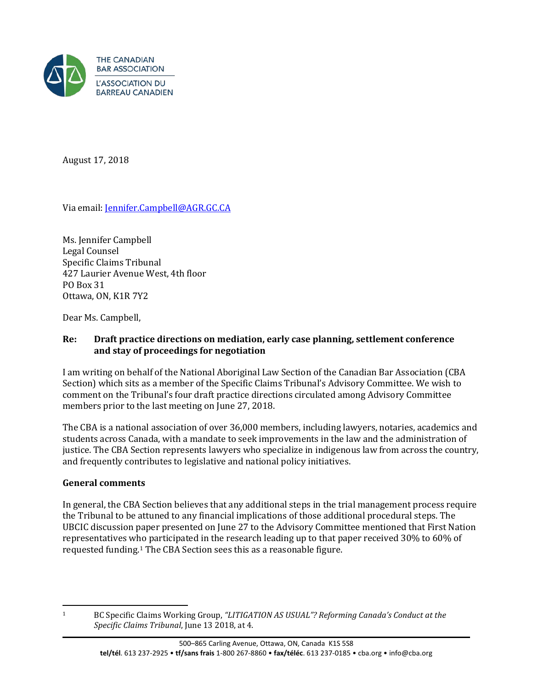

August 17, 2018

Via email: [Jennifer.Campbell@AGR.GC.CA](mailto:Jennifer.Campbell@AGR.GC.CA)

Ms. Jennifer Campbell Legal Counsel Specific Claims Tribunal 427 Laurier Avenue West, 4th floor PO Box 31 Ottawa, ON, K1R 7Y2

Dear Ms. Campbell,

### **Re: Draft practice directions on mediation, early case planning, settlement conference and stay of proceedings for negotiation**

I am writing on behalf of the National Aboriginal Law Section of the Canadian Bar Association (CBA Section) which sits as a member of the Specific Claims Tribunal's Advisory Committee. We wish to comment on the Tribunal's four draft practice directions circulated among Advisory Committee members prior to the last meeting on June 27, 2018.

The CBA is a national association of over 36,000 members, including lawyers, notaries, academics and students across Canada, with a mandate to seek improvements in the law and the administration of justice. The CBA Section represents lawyers who specialize in indigenous law from across the country, and frequently contributes to legislative and national policy initiatives.

### **General comments**

In general, the CBA Section believes that any additional steps in the trial management process require the Tribunal to be attuned to any financial implications of those additional procedural steps. The UBCIC discussion paper presented on June 27 to the Advisory Committee mentioned that First Nation representatives w[ho](#page-0-0) participated in the research leading up to that paper received 30% to 60% of requested funding.1 The CBA Section sees this as a reasonable figure.

<span id="page-0-0"></span> $\mathbf{1}$ 

<sup>1</sup> BC Specific Claims Working Group, *"LITIGATION AS USUAL"? Reforming Canada's Conduct at the Specific Claims Tribunal*, June 13 2018, at 4.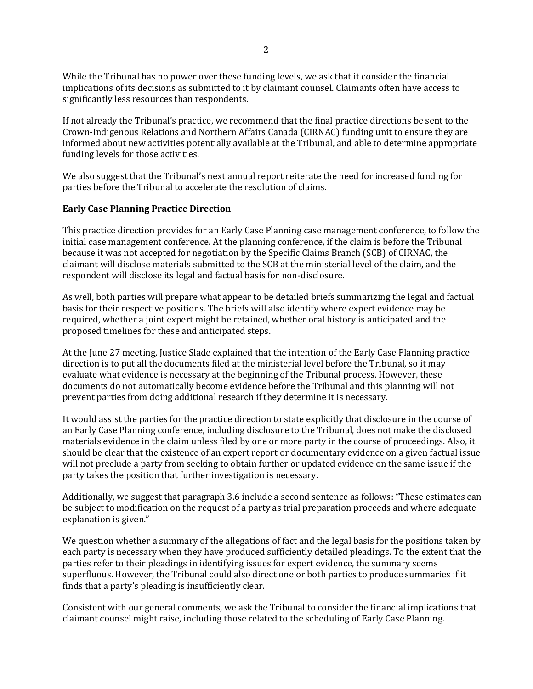While the Tribunal has no power over these funding levels, we ask that it consider the financial implications of its decisions as submitted to it by claimant counsel. Claimants often have access to significantly less resources than respondents.

If not already the Tribunal's practice, we recommend that the final practice directions be sent to the Crown-Indigenous Relations and Northern Affairs Canada (CIRNAC) funding unit to ensure they are informed about new activities potentially available at the Tribunal, and able to determine appropriate funding levels for those activities.

We also suggest that the Tribunal's next annual report reiterate the need for increased funding for parties before the Tribunal to accelerate the resolution of claims.

#### **Early Case Planning Practice Direction**

This practice direction provides for an Early Case Planning case management conference, to follow the initial case management conference. At the planning conference, if the claim is before the Tribunal because it was not accepted for negotiation by the Specific Claims Branch (SCB) of CIRNAC, the claimant will disclose materials submitted to the SCB at the ministerial level of the claim, and the respondent will disclose its legal and factual basis for non-disclosure.

As well, both parties will prepare what appear to be detailed briefs summarizing the legal and factual basis for their respective positions. The briefs will also identify where expert evidence may be required, whether a joint expert might be retained, whether oral history is anticipated and the proposed timelines for these and anticipated steps.

At the June 27 meeting, Justice Slade explained that the intention of the Early Case Planning practice direction is to put all the documents filed at the ministerial level before the Tribunal, so it may evaluate what evidence is necessary at the beginning of the Tribunal process. However, these documents do not automatically become evidence before the Tribunal and this planning will not prevent parties from doing additional research if they determine it is necessary.

It would assist the parties for the practice direction to state explicitly that disclosure in the course of an Early Case Planning conference, including disclosure to the Tribunal, does not make the disclosed materials evidence in the claim unless filed by one or more party in the course of proceedings. Also, it should be clear that the existence of an expert report or documentary evidence on a given factual issue will not preclude a party from seeking to obtain further or updated evidence on the same issue if the party takes the position that further investigation is necessary.

Additionally, we suggest that paragraph 3.6 include a second sentence as follows: "These estimates can be subject to modification on the request of a party as trial preparation proceeds and where adequate explanation is given."

We question whether a summary of the allegations of fact and the legal basis for the positions taken by each party is necessary when they have produced sufficiently detailed pleadings. To the extent that the parties refer to their pleadings in identifying issues for expert evidence, the summary seems superfluous. However, the Tribunal could also direct one or both parties to produce summaries if it finds that a party's pleading is insufficiently clear.

Consistent with our general comments, we ask the Tribunal to consider the financial implications that claimant counsel might raise, including those related to the scheduling of Early Case Planning.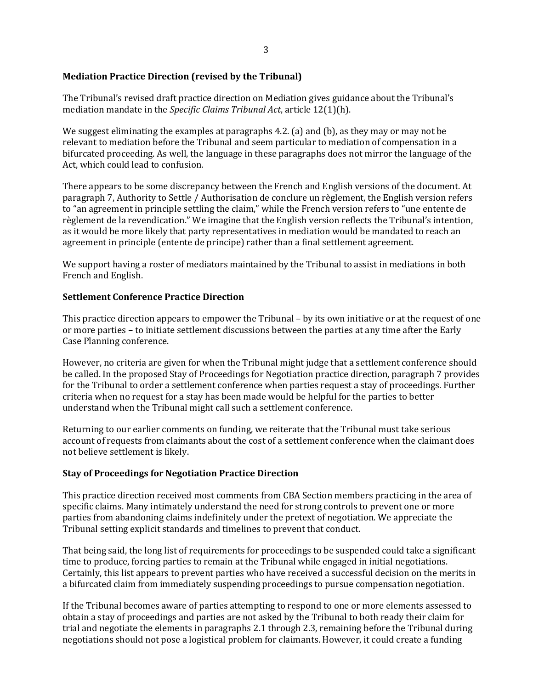# **Mediation Practice Direction (revised by the Tribunal)**

The Tribunal's revised draft practice direction on Mediation gives guidance about the Tribunal's mediation mandate in the *Specific Claims Tribunal Act*, article 12(1)(h).

We suggest eliminating the examples at paragraphs 4.2. (a) and (b), as they may or may not be relevant to mediation before the Tribunal and seem particular to mediation of compensation in a bifurcated proceeding. As well, the language in these paragraphs does not mirror the language of the Act, which could lead to confusion.

There appears to be some discrepancy between the French and English versions of the document. At paragraph 7, Authority to Settle / Authorisation de conclure un règlement, the English version refers to "an agreement in principle settling the claim," while the French version refers to "une entente de règlement de la revendication." We imagine that the English version reflects the Tribunal's intention, as it would be more likely that party representatives in mediation would be mandated to reach an agreement in principle (entente de principe) rather than a final settlement agreement.

We support having a roster of mediators maintained by the Tribunal to assist in mediations in both French and English.

## **Settlement Conference Practice Direction**

This practice direction appears to empower the Tribunal – by its own initiative or at the request of one or more parties – to initiate settlement discussions between the parties at any time after the Early Case Planning conference.

However, no criteria are given for when the Tribunal might judge that a settlement conference should be called. In the proposed Stay of Proceedings for Negotiation practice direction, paragraph 7 provides for the Tribunal to order a settlement conference when parties request a stay of proceedings. Further criteria when no request for a stay has been made would be helpful for the parties to better understand when the Tribunal might call such a settlement conference.

Returning to our earlier comments on funding, we reiterate that the Tribunal must take serious account of requests from claimants about the cost of a settlement conference when the claimant does not believe settlement is likely.

# **Stay of Proceedings for Negotiation Practice Direction**

This practice direction received most comments from CBA Section members practicing in the area of specific claims. Many intimately understand the need for strong controls to prevent one or more parties from abandoning claims indefinitely under the pretext of negotiation. We appreciate the Tribunal setting explicit standards and timelines to prevent that conduct.

That being said, the long list of requirements for proceedings to be suspended could take a significant time to produce, forcing parties to remain at the Tribunal while engaged in initial negotiations. Certainly, this list appears to prevent parties who have received a successful decision on the merits in a bifurcated claim from immediately suspending proceedings to pursue compensation negotiation.

If the Tribunal becomes aware of parties attempting to respond to one or more elements assessed to obtain a stay of proceedings and parties are not asked by the Tribunal to both ready their claim for trial and negotiate the elements in paragraphs 2.1 through 2.3, remaining before the Tribunal during negotiations should not pose a logistical problem for claimants. However, it could create a funding